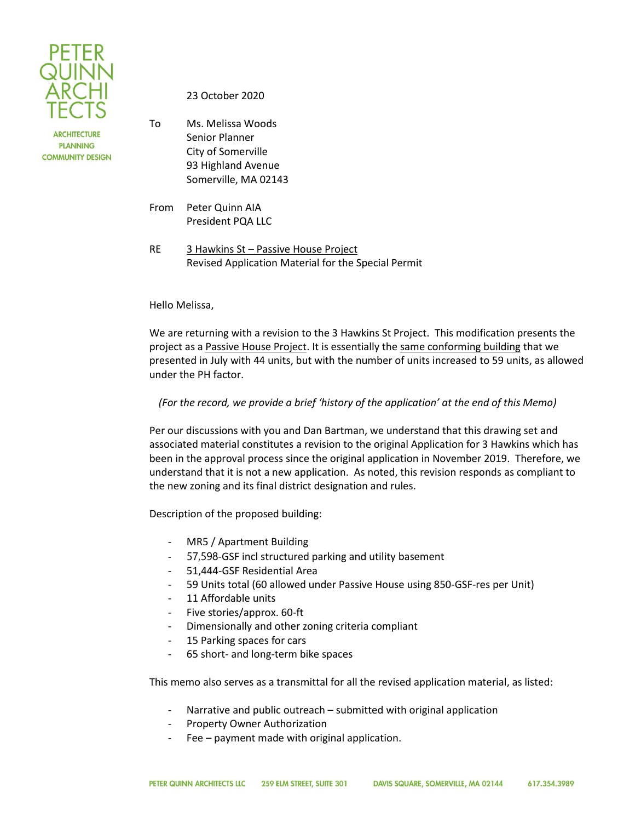

**ARCHITECTURE PLANNING COMMUNITY DESIGN**  23 October 2020

To Ms. Melissa Woods Senior Planner City of Somerville 93 Highland Avenue Somerville, MA 02143

From Peter Quinn AIA President PQA LLC

RE 3 Hawkins St – Passive House Project Revised Application Material for the Special Permit

## Hello Melissa,

We are returning with a revision to the 3 Hawkins St Project. This modification presents the project as a Passive House Project. It is essentially the same conforming building that we presented in July with 44 units, but with the number of units increased to 59 units, as allowed under the PH factor.

*(For the record, we provide a brief 'history of the application' at the end of this Memo)*

Per our discussions with you and Dan Bartman, we understand that this drawing set and associated material constitutes a revision to the original Application for 3 Hawkins which has been in the approval process since the original application in November 2019. Therefore, we understand that it is not a new application. As noted, this revision responds as compliant to the new zoning and its final district designation and rules.

Description of the proposed building:

- MR5 / Apartment Building
- 57,598-GSF incl structured parking and utility basement
- 51,444-GSF Residential Area
- 59 Units total (60 allowed under Passive House using 850-GSF-res per Unit)
- 11 Affordable units
- Five stories/approx. 60-ft
- Dimensionally and other zoning criteria compliant
- 15 Parking spaces for cars
- 65 short- and long-term bike spaces

This memo also serves as a transmittal for all the revised application material, as listed:

- Narrative and public outreach submitted with original application
- Property Owner Authorization
- Fee payment made with original application.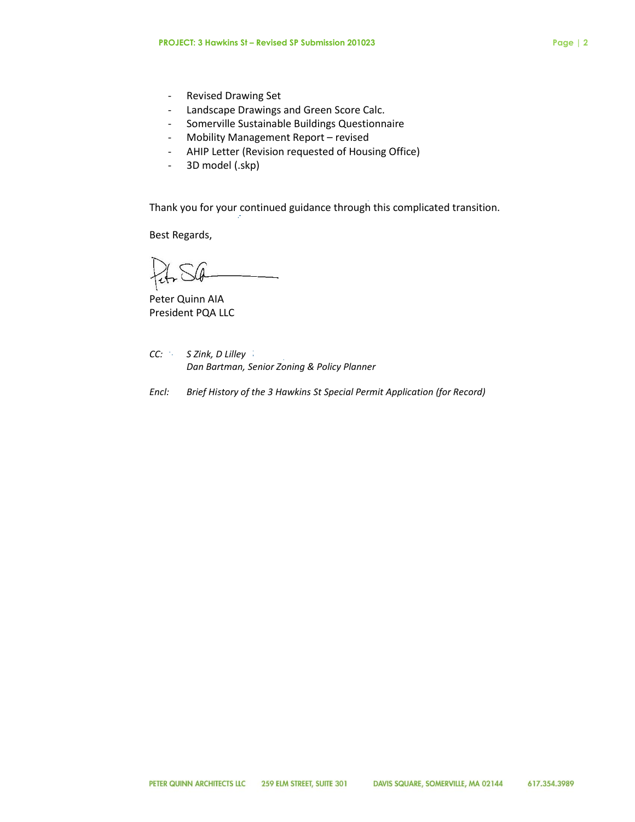- Revised Drawing Set
- Landscape Drawings and Green Score Calc.
- Somerville Sustainable Buildings Questionnaire
- Mobility Management Report revised
- AHIP Letter (Revision requested of Housing Office)
- 3D model (.skp)

Thank you for your continued guidance through this complicated transition.

Best Regards,

Peter Quinn AIA President PQA LLC

- *CC: S Zink, D Lilley Dan Bartman, Senior Zoning & Policy Planner*
- *Encl: Brief History of the 3 Hawkins St Special Permit Application (for Record)*